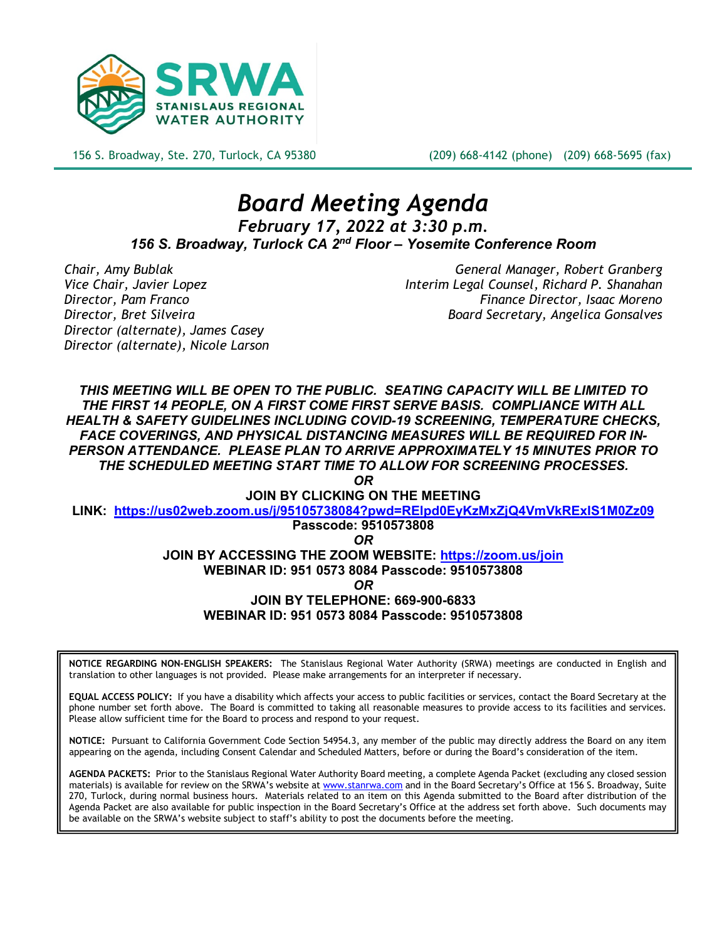

156 S. Broadway, Ste. 270, Turlock, CA 95380 (209) 668-4142 (phone) (209) 668-5695 (fax)

# *Board Meeting Agenda February 17, 2022 at 3:30 p.m. 156 S. Broadway, Turlock CA 2nd Floor – Yosemite Conference Room*

*Director (alternate), James Casey Director (alternate), Nicole Larson*

*Chair, Amy Bublak General Manager, Robert Granberg Vice Chair, Javier Lopez Interim Legal Counsel, Richard P. Shanahan Director, Pam Franco Finance Director, Isaac Moreno Director, Bret Silveira Board Secretary, Angelica Gonsalves*

*THIS MEETING WILL BE OPEN TO THE PUBLIC. SEATING CAPACITY WILL BE LIMITED TO THE FIRST 14 PEOPLE, ON A FIRST COME FIRST SERVE BASIS. COMPLIANCE WITH ALL HEALTH & SAFETY GUIDELINES INCLUDING COVID-19 SCREENING, TEMPERATURE CHECKS, FACE COVERINGS, AND PHYSICAL DISTANCING MEASURES WILL BE REQUIRED FOR IN-PERSON ATTENDANCE. PLEASE PLAN TO ARRIVE APPROXIMATELY 15 MINUTES PRIOR TO THE SCHEDULED MEETING START TIME TO ALLOW FOR SCREENING PROCESSES.* 

*OR*

**JOIN BY CLICKING ON THE MEETING** 

**LINK: <https://us02web.zoom.us/j/95105738084?pwd=RElpd0EyKzMxZjQ4VmVkRExIS1M0Zz09>**

**Passcode: 9510573808**

*OR*

**JOIN BY ACCESSING THE ZOOM WEBSITE:<https://zoom.us/join>**

**WEBINAR ID: 951 0573 8084 Passcode: 9510573808**

*OR*

**JOIN BY TELEPHONE: 669-900-6833**

**WEBINAR ID: 951 0573 8084 Passcode: 9510573808**

**NOTICE REGARDING NON-ENGLISH SPEAKERS:** The Stanislaus Regional Water Authority (SRWA) meetings are conducted in English and translation to other languages is not provided. Please make arrangements for an interpreter if necessary.

**EQUAL ACCESS POLICY:** If you have a disability which affects your access to public facilities or services, contact the Board Secretary at the phone number set forth above. The Board is committed to taking all reasonable measures to provide access to its facilities and services. Please allow sufficient time for the Board to process and respond to your request.

**NOTICE:** Pursuant to California Government Code Section 54954.3, any member of the public may directly address the Board on any item appearing on the agenda, including Consent Calendar and Scheduled Matters, before or during the Board's consideration of the item.

**AGENDA PACKETS:** Prior to the Stanislaus Regional Water Authority Board meeting, a complete Agenda Packet (excluding any closed session materials) is available for review on the SRWA's website at [www.stanrwa.com](http://www.stanrwa.com/) and in the Board Secretary's Office at 156 S. Broadway, Suite 270, Turlock, during normal business hours. Materials related to an item on this Agenda submitted to the Board after distribution of the Agenda Packet are also available for public inspection in the Board Secretary's Office at the address set forth above. Such documents may be available on the SRWA's website subject to staff's ability to post the documents before the meeting.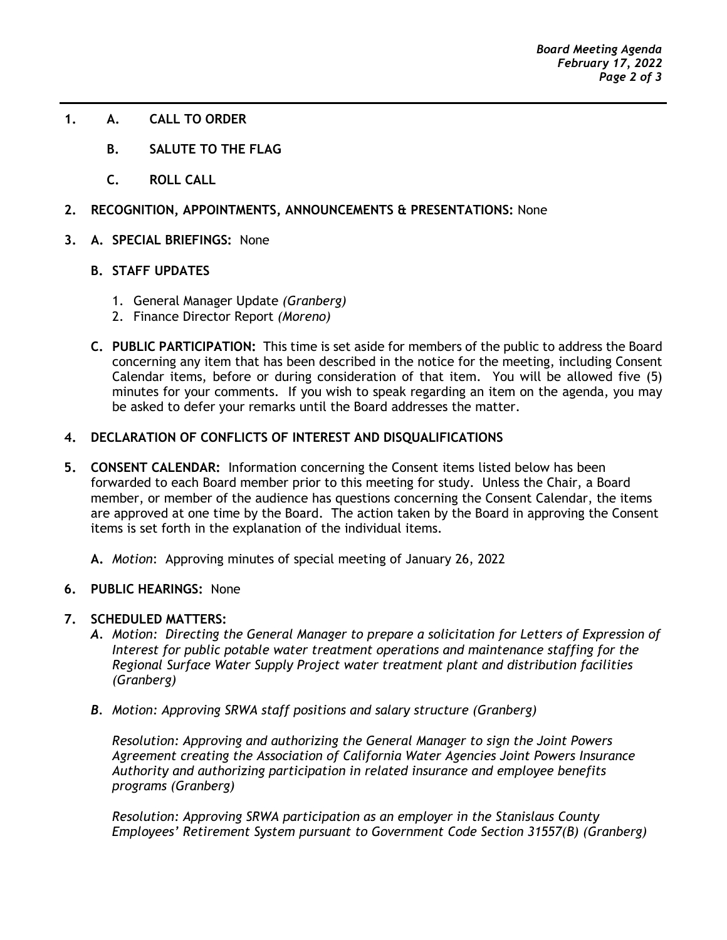- **1. A. CALL TO ORDER**
	- **B. SALUTE TO THE FLAG**
	- **C. ROLL CALL**
- **2. RECOGNITION, APPOINTMENTS, ANNOUNCEMENTS & PRESENTATIONS:** None
- **3. A. SPECIAL BRIEFINGS:** None
	- **B. STAFF UPDATES**
		- 1. General Manager Update *(Granberg)*
		- 2. Finance Director Report *(Moreno)*
	- **C. PUBLIC PARTICIPATION:** This time is set aside for members of the public to address the Board concerning any item that has been described in the notice for the meeting, including Consent Calendar items, before or during consideration of that item. You will be allowed five (5) minutes for your comments. If you wish to speak regarding an item on the agenda, you may be asked to defer your remarks until the Board addresses the matter.

## **4. DECLARATION OF CONFLICTS OF INTEREST AND DISQUALIFICATIONS**

**5. CONSENT CALENDAR:** Information concerning the Consent items listed below has been forwarded to each Board member prior to this meeting for study. Unless the Chair, a Board member, or member of the audience has questions concerning the Consent Calendar, the items are approved at one time by the Board. The action taken by the Board in approving the Consent items is set forth in the explanation of the individual items.

**A.** *Motion*: Approving minutes of special meeting of January 26, 2022

**6. PUBLIC HEARINGS:** None

## **7. SCHEDULED MATTERS:**

- *A. Motion: Directing the General Manager to prepare a solicitation for Letters of Expression of Interest for public potable water treatment operations and maintenance staffing for the Regional Surface Water Supply Project water treatment plant and distribution facilities (Granberg)*
- *B. Motion: Approving SRWA staff positions and salary structure (Granberg)*

*Resolution: Approving and authorizing the General Manager to sign the Joint Powers Agreement creating the Association of California Water Agencies Joint Powers Insurance Authority and authorizing participation in related insurance and employee benefits programs (Granberg)*

*Resolution: Approving SRWA participation as an employer in the Stanislaus County Employees' Retirement System pursuant to Government Code Section 31557(B) (Granberg)*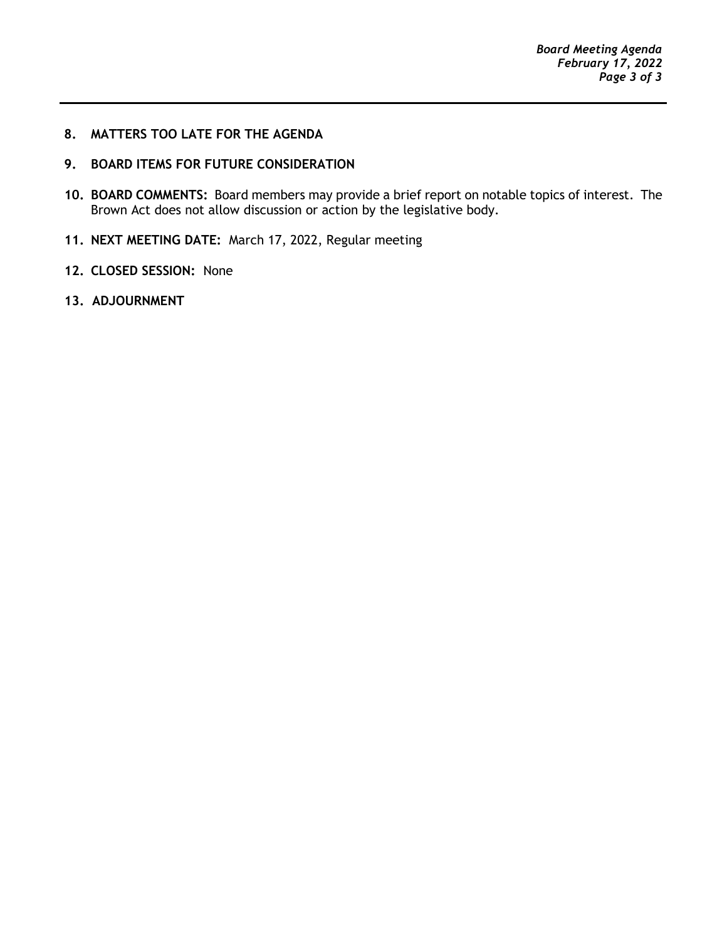## **8. MATTERS TOO LATE FOR THE AGENDA**

# **9. BOARD ITEMS FOR FUTURE CONSIDERATION**

- **10. BOARD COMMENTS:** Board members may provide a brief report on notable topics of interest. The Brown Act does not allow discussion or action by the legislative body.
- **11. NEXT MEETING DATE:** March 17, 2022, Regular meeting
- **12. CLOSED SESSION:** None
- **13. ADJOURNMENT**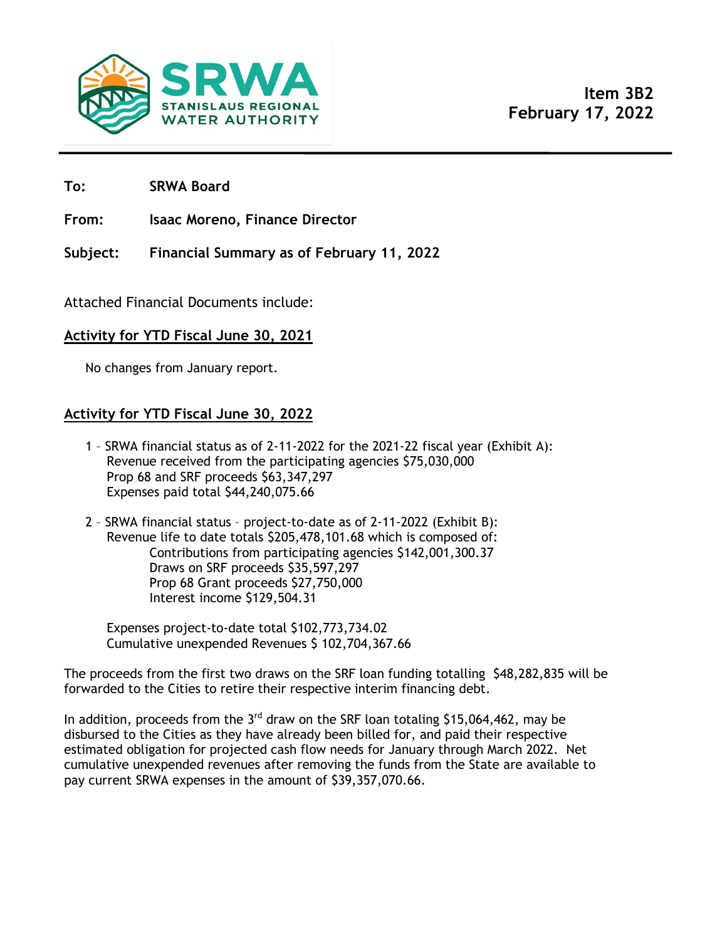

**To: SRWA Board**

**From: Isaac Moreno, Finance Director**

**Subject: Financial Summary as of February 11, 2022**

Attached Financial Documents include:

# **Activity for YTD Fiscal June 30, 2021**

No changes from January report.

# **Activity for YTD Fiscal June 30, 2022**

- 1 SRWA financial status as of 2-11-2022 for the 2021-22 fiscal year (Exhibit A): Revenue received from the participating agencies \$75,030,000 Prop 68 and SRF proceeds \$63,347,297 Expenses paid total \$44,240,075.66
- 2 SRWA financial status project-to-date as of 2-11-2022 (Exhibit B): Revenue life to date totals \$205,478,101.68 which is composed of: Contributions from participating agencies \$142,001,300.37 Draws on SRF proceeds \$35,597,297 Prop 68 Grant proceeds \$27,750,000 Interest income \$129,504.31

Expenses project-to-date total \$102,773,734.02 Cumulative unexpended Revenues \$ 102,704,367.66

The proceeds from the first two draws on the SRF loan funding totalling \$48,282,835 will be forwarded to the Cities to retire their respective interim financing debt.

In addition, proceeds from the  $3<sup>rd</sup>$  draw on the SRF loan totaling \$15,064,462, may be disbursed to the Cities as they have already been billed for, and paid their respective estimated obligation for projected cash flow needs for January through March 2022. Net cumulative unexpended revenues after removing the funds from the State are available to pay current SRWA expenses in the amount of \$39,357,070.66.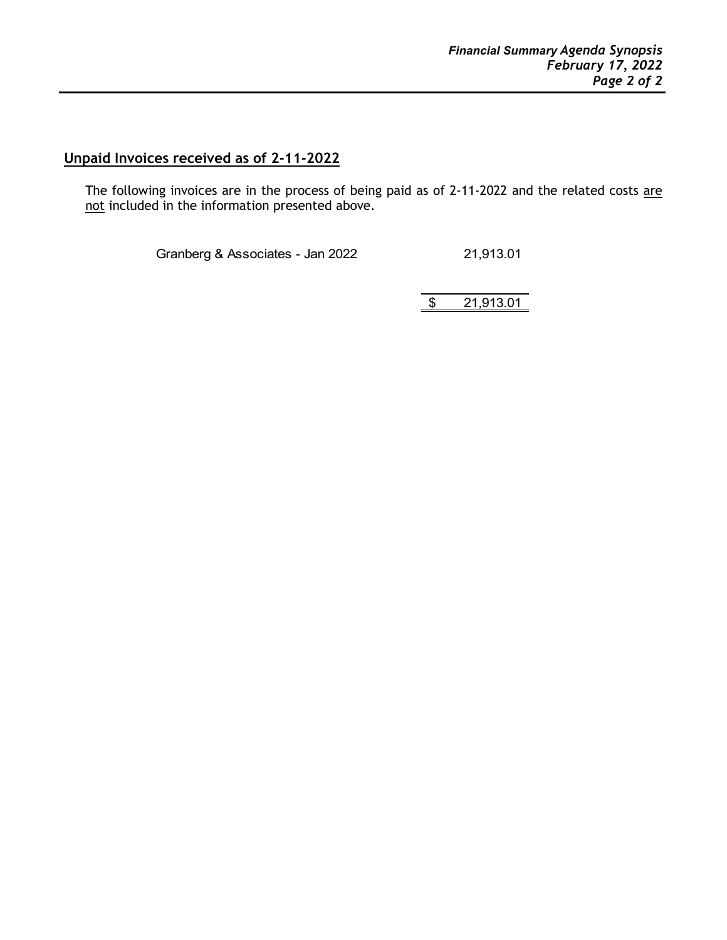# **Unpaid Invoices received as of 2-11-2022**

The following invoices are in the process of being paid as of 2-11-2022 and the related costs are not included in the information presented above.

Granberg & Associates - Jan 2022 21,913.01

\$ 21,913.01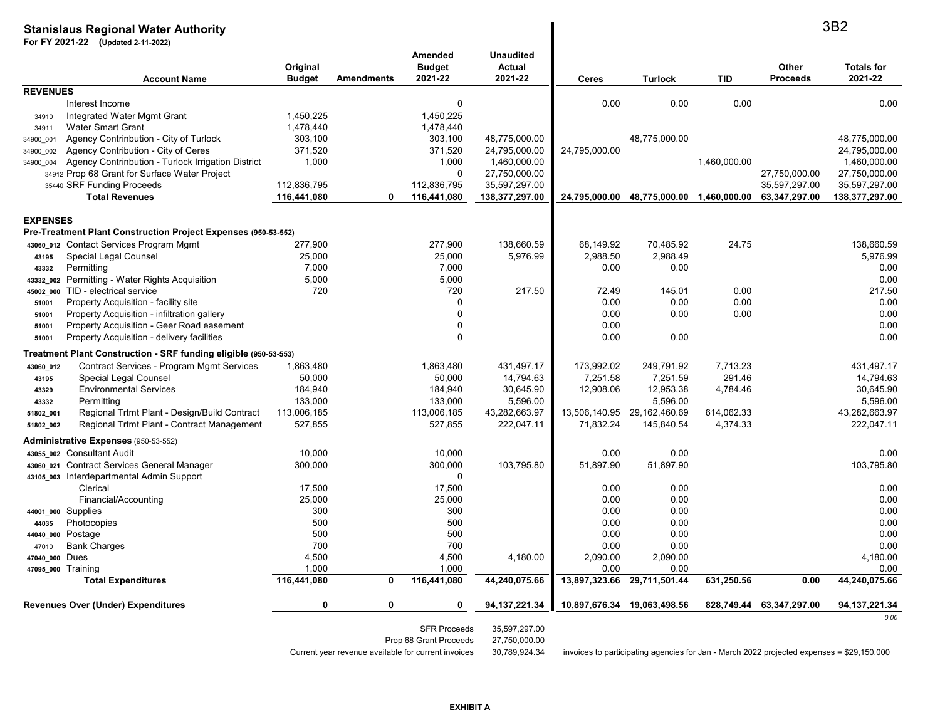#### **Stanislaus Regional Water AuthorityFor FY 2021-22 (Updated 2-11-2022)Account NameOriginal Budget Amendments Amended Budget 2021-22Unaudited Actual 2021-22 Ceres Turlock TID Other ProceedsTotals for 2021-22REVENUES** Interest Income <sup>0</sup> 0.00 0.00 0.00 0.00 34910Integrated Water Mgmt Grant 1,450,225<br>Water Smart Grant 1,478,440 1,450,225 34911Water Smart Grant 1,478,440 34900\_001 Agency Contrinbution - City of Turlock 303,100 303,100 48,775,000.00 48,775,000.00 48,775,000.00 34900\_002 Agency Contribution - City of Ceres371,520<br>1,000 371,520 24,795,000.00 24,795,000.00 24,795,000.00 34900\_004Agency Contrinbution - Turlock Irrigation District 1,000 1,000 1,000 1,460,000.00 1,460,000.00 1,460,000.00 1,460,000.00 1,460,000.00 1,460,000.00 1,460,000.00 1,460,000.00 1,460,000.00 1,460,000.00 1,460,000.00 1,460,000. 34912 Prop 68 Grant for Surface Water Project <sup>0</sup> 27,750,000.00 27,750,000.00 27,750,000.00 35440 SRF Funding Proceeds112,836,795<br>**116,441,080**  112,836,795 35,597,297.00 35,597,297.00 35,597,297.00  **Total Revenues 116,441,080 <sup>0</sup> 116,441,080 138,377,297.00 24,795,000.00 48,775,000.00 1,460,000.00 63,347,297.00 138,377,297.00 EXPENSES Pre-Treatment Plant Construction Project Expenses (950-53-552)43060\_012** Contact Services Program Mgmt 277,900 277,900 138,660.59 68,149.92 70,485.92 24.75 138,660.59 **43195** Special Legal Counsel 25,000 25,000 5,976.99 2,988.50 2,988.49 5,976.99 **43332Permitting**  7,000 7,000 0.00 0.00 0.00 **43332\_002** Permitting - Water Rights Acquisition 5,000 5,000 0.00 **45002\_000** TID - electrical service <sup>720</sup> <sup>720</sup> 217.50 72.49 145.01 0.00 217.50 **51001** Property Acquisition - facility site <sup>0</sup> 0.00 0.00 0.00 0.00 **51001** Property Acquisition - infiltration galleryversus to the contract of the contract of the contract of the contract of the contract of the contract of the contract of the contract of the contract of the contract of the contract of the contract of the contract of the **51001**Property Acquisition - Geer Road easement the control of the control of the control of the control of the control of the control of the control of the control of the control of the control of the control of the control of **51001** Property Acquisition - delivery facilitiess and the contract of the contract of  $\sim 0.00$  and  $\sim 0.00$  and  $\sim 0.00$  and  $\sim 0.00$ **Treatment Plant Construction - SRF funding eligible (950-53-553)**1863480 **43060\_012**Contract Services - Program Mgmt Services 1,863,480 1,863,480 1,863,480 431,497.17 173,992.02 249,791.92 7,713.23 431,497.17<br>Solon 50.000 14.794.63 7.251.58 7.251.59 291.46 14.794.63 14.794.63 **43195**Special Legal Counsel 50,000 14,794.63 7,251.58 7,251.59 291.46 14,794.63 **43329** Environmental Services184,940<br>133.000 184,940 30,645.90 12,908.06 12,953.38 4,784.46 30,645.90 **43332Permitting** g 133,000 133,000 5,596.00 5,596.00 5,596.00 **51802\_001** Regional Trtmt Plant - Design/Build Contract 113,006,185 113,006,185 43,282,663.97 13,506,140.95 29,162,460.69 614,062.33 43,282,663.97 **51802\_002**Regional Trtmt Plant - Contract Management **Administrative Expenses** (950-53-552) **43055\_002** Consultant Audit 10,000 10,000 0.00 0.00 0.00 **43060\_021** Contract Services General Manager 300,0000 300,000 103,795.80 51,897.90 51,897.90 103,795.80 **43105\_003** Interdepartmental Admin Support <sup>0</sup>17.500 Clerical 17,500 17,500 0.00 0.00 0.00 Financial/Accountingg and the contract of  $25,000$  and  $25,000$  and  $25,000$  and  $25,000$  and  $25,000$  and  $25,000$  and  $25,000$  and  $25,000$  and  $25,000$  and  $25,000$  and  $25,000$  and  $25,000$  and  $25,000$  and  $25,000$  and  $25,000$  and  $25,$ **44001\_000** Supplies $300$   $300$   $300$   $300$   $300$   $300$   $300$   $300$   $300$   $300$   $300$   $300$   $300$   $300$   $300$   $300$   $300$   $300$   $300$   $300$   $300$   $300$   $300$   $300$   $300$   $300$   $300$   $300$   $300$   $300$   $300$   $300$   $300$   $300$   $300$   $300$   $300$ **44035** Photocopies <sup>500</sup> <sup>500</sup> 0.00 0.00 0.00 **44040\_000** Postage <sup>500</sup> <sup>500</sup> 0.00 0.00 0.00 47010 Bank Charges $700$   $700$   $700$   $700$   $700$   $700$   $700$   $700$   $700$   $700$   $700$   $700$   $700$   $700$   $700$   $700$   $700$   $700$   $700$   $700$   $700$   $700$   $700$   $700$   $700$   $700$   $700$   $700$   $700$   $700$   $700$   $700$   $700$   $700$   $700$   $700$   $700$ **47040\_000** Dues 4,500 4,500 4,180.00 2,090.00 2,090.00 4,180.00 **47095\_000** Training $\begin{array}{|c|c|c|c|c|c|c|c|}\hline 1,000 & 1,000 & 0.00 & 0.00 & 0.00 & 0.00 \ \hline \end{array}$ Total Expenditures <u>116,441,080 0 116,441,080 44,240,075.66 13,897,323.66 29,711,501.44 631,250.56 0.00 44,240,075.66</u> **Revenues Over (Under) Expenditures <sup>0</sup> <sup>0</sup> <sup>0</sup> 94,137,221.34 10,897,676.34 19,063,498.56 828,749.44 63,347,297.00 94,137,221.34** *0.00*SFR Proceeds 35,597,297.00 Prop 68 Grant Proceeds 27,750,000.00<br>Current year revenue available for current invoices 30,789,924.34 3B2

invoices to participating agencies for Jan - March 2022 projected expenses = \$29,150,000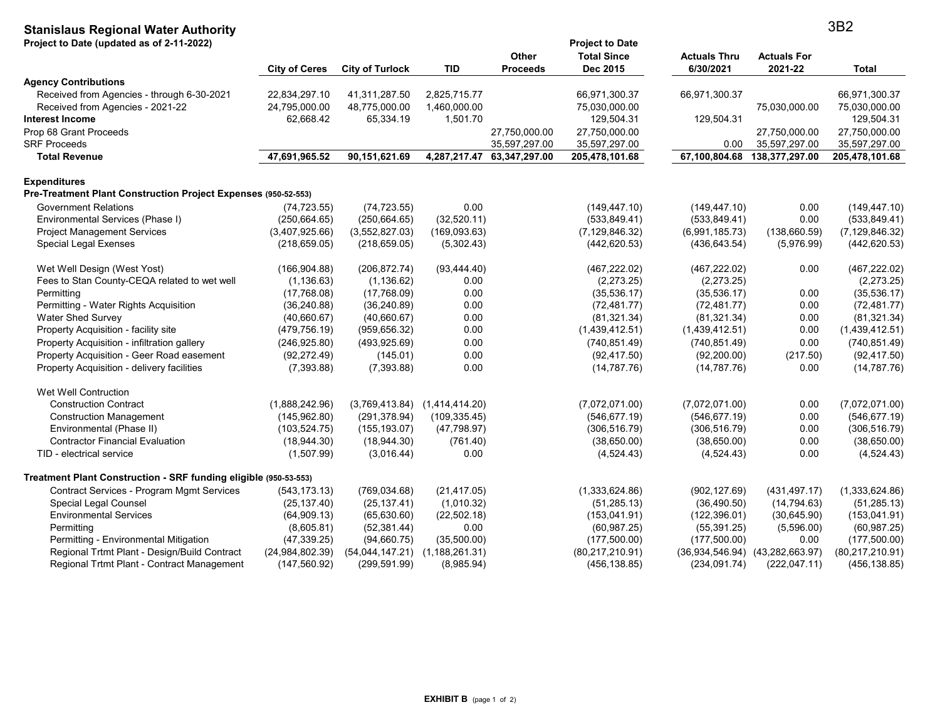# **Stanislaus Regional Water Authority**

| Project to Date (updated as of 2-11-2022)                        |                      |                                   |                  | <b>Other</b>    | <b>Project to Date</b><br><b>Total Since</b> | <b>Actuals Thru</b> | <b>Actuals For</b>                  |                   |
|------------------------------------------------------------------|----------------------|-----------------------------------|------------------|-----------------|----------------------------------------------|---------------------|-------------------------------------|-------------------|
|                                                                  | <b>City of Ceres</b> | <b>City of Turlock</b>            | <b>TID</b>       | <b>Proceeds</b> | Dec 2015                                     | 6/30/2021           | 2021-22                             | Total             |
| <b>Agency Contributions</b>                                      |                      |                                   |                  |                 |                                              |                     |                                     |                   |
| Received from Agencies - through 6-30-2021                       | 22,834,297.10        | 41,311,287.50                     | 2,825,715.77     |                 | 66,971,300.37                                | 66,971,300.37       |                                     | 66,971,300.37     |
| Received from Agencies - 2021-22                                 | 24,795,000.00        | 48,775,000.00                     | 1,460,000.00     |                 | 75,030,000.00                                |                     | 75,030,000.00                       | 75,030,000.00     |
| Interest Income                                                  | 62,668.42            | 65,334.19                         | 1,501.70         |                 | 129,504.31                                   | 129,504.31          |                                     | 129,504.31        |
| Prop 68 Grant Proceeds                                           |                      |                                   |                  | 27,750,000.00   | 27,750,000.00                                |                     | 27,750,000.00                       | 27,750,000.00     |
| <b>SRF Proceeds</b>                                              |                      |                                   |                  | 35,597,297.00   | 35,597,297.00                                | 0.00                | 35,597,297.00                       | 35,597,297.00     |
| <b>Total Revenue</b>                                             | 47,691,965.52        | 90,151,621.69                     | 4,287,217.47     | 63,347,297.00   | 205,478,101.68                               | 67,100,804.68       | 138,377,297.00                      | 205,478,101.68    |
| <b>Expenditures</b>                                              |                      |                                   |                  |                 |                                              |                     |                                     |                   |
| Pre-Treatment Plant Construction Project Expenses (950-52-553)   |                      |                                   |                  |                 |                                              |                     |                                     |                   |
| <b>Government Relations</b>                                      | (74, 723.55)         | (74, 723.55)                      | 0.00             |                 | (149, 447.10)                                | (149, 447.10)       | 0.00                                | (149, 447, 10)    |
| Environmental Services (Phase I)                                 | (250, 664.65)        | (250, 664.65)                     | (32,520.11)      |                 | (533, 849.41)                                | (533, 849.41)       | 0.00                                | (533, 849.41)     |
| <b>Project Management Services</b>                               | (3,407,925.66)       | (3,552,827.03)                    | (169,093.63)     |                 | (7, 129, 846.32)                             | (6,991,185.73)      | (138, 660.59)                       | (7, 129, 846.32)  |
| Special Legal Exenses                                            | (218, 659.05)        | (218, 659.05)                     | (5,302.43)       |                 | (442, 620.53)                                | (436, 643.54)       | (5,976.99)                          | (442, 620.53)     |
| Wet Well Design (West Yost)                                      | (166, 904.88)        | (206, 872.74)                     | (93, 444.40)     |                 | (467, 222.02)                                | (467, 222.02)       | 0.00                                | (467, 222.02)     |
| Fees to Stan County-CEQA related to wet well                     | (1, 136.63)          | (1, 136.62)                       | 0.00             |                 | (2,273.25)                                   | (2,273.25)          |                                     | (2,273.25)        |
| Permitting                                                       | (17,768.08)          | (17,768.09)                       | 0.00             |                 | (35, 536.17)                                 | (35,536.17)         | 0.00                                | (35,536.17)       |
| Permitting - Water Rights Acquisition                            | (36, 240.88)         | (36, 240.89)                      | 0.00             |                 | (72, 481.77)                                 | (72, 481.77)        | 0.00                                | (72, 481.77)      |
| <b>Water Shed Survey</b>                                         | (40,660.67)          | (40,660.67)                       | 0.00             |                 | (81, 321.34)                                 | (81, 321.34)        | 0.00                                | (81, 321.34)      |
| Property Acquisition - facility site                             | (479, 756.19)        | (959, 656.32)                     | 0.00             |                 | (1,439,412.51)                               | (1,439,412.51)      | 0.00                                | (1,439,412.51)    |
| Property Acquisition - infiltration gallery                      | (246, 925.80)        | (493, 925.69)                     | 0.00             |                 | (740, 851.49)                                | (740, 851.49)       | 0.00                                | (740, 851.49)     |
| Property Acquisition - Geer Road easement                        | (92, 272.49)         | (145.01)                          | 0.00             |                 | (92, 417.50)                                 | (92, 200.00)        | (217.50)                            | (92, 417.50)      |
| Property Acquisition - delivery facilities                       | (7,393.88)           | (7,393.88)                        | 0.00             |                 | (14, 787.76)                                 | (14, 787.76)        | 0.00                                | (14, 787.76)      |
| Wet Well Contruction                                             |                      |                                   |                  |                 |                                              |                     |                                     |                   |
| <b>Construction Contract</b>                                     | (1,888,242.96)       | $(3,769,413.84)$ $(1,414,414.20)$ |                  |                 | (7,072,071.00)                               | (7,072,071.00)      | 0.00                                | (7,072,071.00)    |
| <b>Construction Management</b>                                   | (145, 962.80)        | (291, 378.94)                     | (109, 335.45)    |                 | (546, 677.19)                                | (546, 677.19)       | 0.00                                | (546, 677.19)     |
| Environmental (Phase II)                                         | (103, 524.75)        | (155, 193.07)                     | (47, 798.97)     |                 | (306, 516.79)                                | (306, 516.79)       | 0.00                                | (306, 516.79)     |
| <b>Contractor Financial Evaluation</b>                           | (18,944.30)          | (18,944.30)                       | (761.40)         |                 | (38,650.00)                                  | (38,650.00)         | 0.00                                | (38,650.00)       |
| TID - electrical service                                         | (1,507.99)           | (3,016.44)                        | 0.00             |                 | (4,524.43)                                   | (4,524.43)          | 0.00                                | (4,524.43)        |
| Treatment Plant Construction - SRF funding eligible (950-53-553) |                      |                                   |                  |                 |                                              |                     |                                     |                   |
| Contract Services - Program Mgmt Services                        | (543, 173.13)        | (769, 034.68)                     | (21, 417.05)     |                 | (1,333,624.86)                               | (902, 127.69)       | (431, 497.17)                       | (1,333,624.86)    |
| <b>Special Legal Counsel</b>                                     | (25, 137.40)         | (25, 137.41)                      | (1,010.32)       |                 | (51, 285.13)                                 | (36, 490.50)        | (14, 794.63)                        | (51, 285.13)      |
| <b>Environmental Services</b>                                    | (64,909.13)          | (65, 630.60)                      | (22, 502.18)     |                 | (153, 041.91)                                | (122, 396.01)       | (30, 645.90)                        | (153, 041.91)     |
| Permitting                                                       | (8,605.81)           | (52, 381.44)                      | 0.00             |                 | (60, 987.25)                                 | (55, 391.25)        | (5,596.00)                          | (60, 987.25)      |
| Permitting - Environmental Mitigation                            | (47, 339.25)         | (94,660.75)                       | (35,500.00)      |                 | (177,500.00)                                 | (177, 500.00)       | 0.00                                | (177,500.00)      |
| Regional Trtmt Plant - Design/Build Contract                     | (24, 984, 802.39)    | (54,044,147.21)                   | (1, 188, 261.31) |                 | (80, 217, 210.91)                            |                     | $(36,934,546.94)$ $(43,282,663.97)$ | (80, 217, 210.91) |
| Regional Trtmt Plant - Contract Management                       | (147, 560.92)        | (299, 591.99)                     | (8,985.94)       |                 | (456, 138.85)                                | (234, 091.74)       | (222, 047.11)                       | (456, 138.85)     |

3B2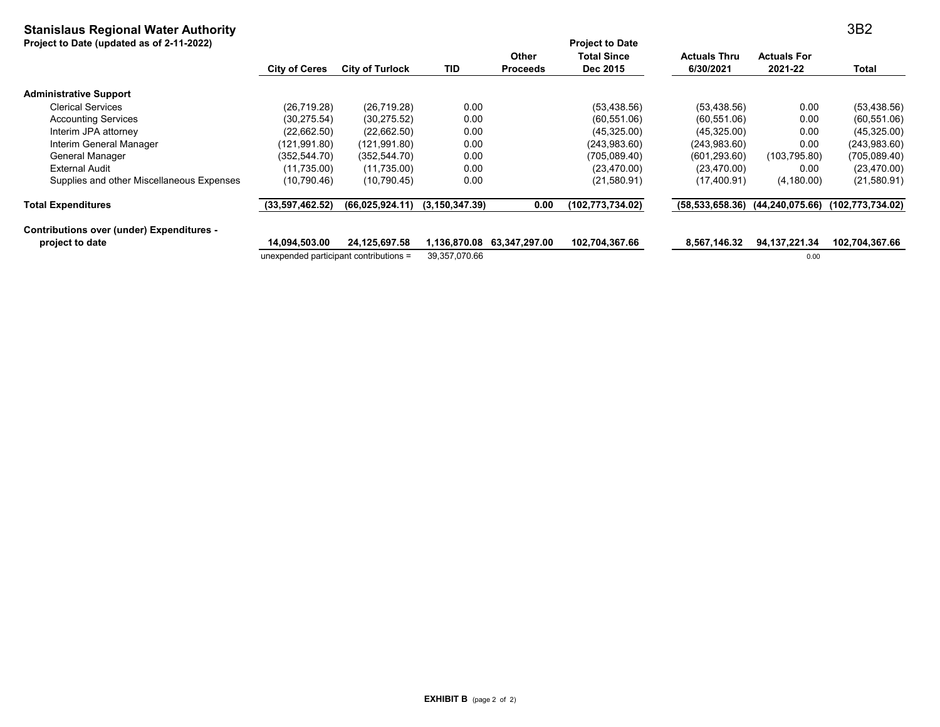# **Stanislaus Regional Water Authority**

**Project to Date (updated as of 2-11-2022)**

| Project to Date (updated as of 2-11-2022)        |                                        |                        |                   |                 | <b>Project to Date</b> |                     |                    |                    |
|--------------------------------------------------|----------------------------------------|------------------------|-------------------|-----------------|------------------------|---------------------|--------------------|--------------------|
|                                                  |                                        |                        |                   | <b>Other</b>    | <b>Total Since</b>     | <b>Actuals Thru</b> | <b>Actuals For</b> |                    |
|                                                  | <b>City of Ceres</b>                   | <b>City of Turlock</b> | TID               | <b>Proceeds</b> | Dec 2015               | 6/30/2021           | 2021-22            | Total              |
| <b>Administrative Support</b>                    |                                        |                        |                   |                 |                        |                     |                    |                    |
| <b>Clerical Services</b>                         | (26,719.28)                            | (26, 719.28)           | 0.00              |                 | (53, 438.56)           | (53, 438.56)        | 0.00               | (53, 438.56)       |
| <b>Accounting Services</b>                       | (30, 275.54)                           | (30, 275.52)           | 0.00              |                 | (60, 551.06)           | (60, 551.06)        | 0.00               | (60, 551.06)       |
| Interim JPA attorney                             | (22,662.50)                            | (22,662.50)            | 0.00              |                 | (45,325.00)            | (45,325.00)         | 0.00               | (45,325.00)        |
| Interim General Manager                          | (121,991.80)                           | (121,991.80)           | 0.00              |                 | (243,983.60)           | (243,983.60)        | 0.00               | (243,983.60)       |
| General Manager                                  | (352, 544.70)                          | (352, 544.70)          | 0.00              |                 | (705,089.40)           | (601, 293.60)       | (103, 795.80)      | (705,089.40)       |
| External Audit                                   | (11,735.00)                            | (11,735.00)            | 0.00              |                 | (23, 470.00)           | (23, 470.00)        | 0.00               | (23, 470.00)       |
| Supplies and other Miscellaneous Expenses        | (10, 790.46)                           | (10,790.45)            | 0.00              |                 | (21,580.91)            | (17, 400.91)        | (4, 180.00)        | (21,580.91)        |
| <b>Total Expenditures</b>                        | (33,597,462.52)                        | (66,025,924.11)        | (3, 150, 347, 39) | 0.00            | (102,773,734.02)       | (58, 533, 658.36)   | (44, 240, 075.66)  | (102, 773, 734.02) |
| <b>Contributions over (under) Expenditures -</b> |                                        |                        |                   |                 |                        |                     |                    |                    |
| project to date                                  | 14.094.503.00                          | 24,125,697.58          | 1,136,870.08      | 63,347,297.00   | 102,704,367.66         | 8,567,146.32        | 94, 137, 221. 34   | 102,704,367.66     |
|                                                  | unexpended participant contributions = |                        | 39,357,070.66     |                 |                        |                     | 0.00               |                    |

3B2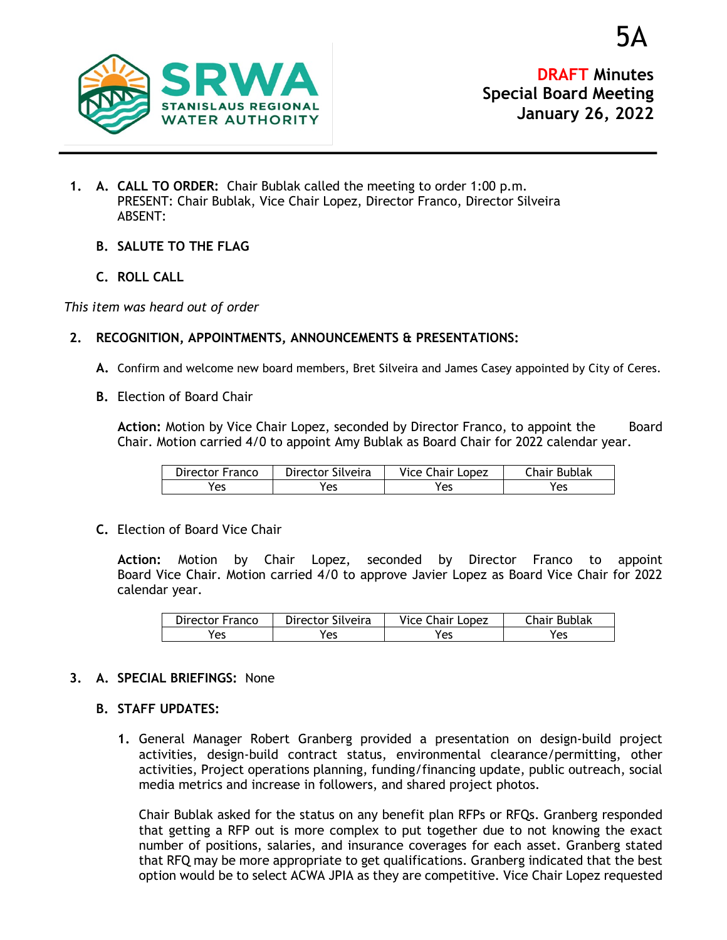

**DRAFT Minutes Special Board Meeting January 26, 2022**

- **1. A. CALL TO ORDER:** Chair Bublak called the meeting to order 1:00 p.m. PRESENT: Chair Bublak, Vice Chair Lopez, Director Franco, Director Silveira ABSENT:
	- **B. SALUTE TO THE FLAG**
	- **C. ROLL CALL**

*This item was heard out of order*

## **2. RECOGNITION, APPOINTMENTS, ANNOUNCEMENTS & PRESENTATIONS:**

- **A.** Confirm and welcome new board members, Bret Silveira and James Casey appointed by City of Ceres.
- **B.** Election of Board Chair

Action: Motion by Vice Chair Lopez, seconded by Director Franco, to appoint the Board Chair. Motion carried 4/0 to appoint Amy Bublak as Board Chair for 2022 calendar year.

| Director Franco | Director Silveira | Vice Chair Lopez | Chair Bublak |
|-----------------|-------------------|------------------|--------------|
| Yes             | 'es               | Yes              | Yes          |

**C.** Election of Board Vice Chair

**Action:** Motion by Chair Lopez, seconded by Director Franco to appoint Board Vice Chair. Motion carried 4/0 to approve Javier Lopez as Board Vice Chair for 2022 calendar year.

| Director Franco | Director Silveira | <b>Vice Chair Lopez</b> | Chair Bublak |
|-----------------|-------------------|-------------------------|--------------|
| Yes             | Yes               | Yes                     | Yes          |

# **3. A. SPECIAL BRIEFINGS:** None

### **B. STAFF UPDATES:**

**1.** General Manager Robert Granberg provided a presentation on design-build project activities, design-build contract status, environmental clearance/permitting, other activities, Project operations planning, funding/financing update, public outreach, social media metrics and increase in followers, and shared project photos.

Chair Bublak asked for the status on any benefit plan RFPs or RFQs. Granberg responded that getting a RFP out is more complex to put together due to not knowing the exact number of positions, salaries, and insurance coverages for each asset. Granberg stated that RFQ may be more appropriate to get qualifications. Granberg indicated that the best option would be to select ACWA JPIA as they are competitive. Vice Chair Lopez requested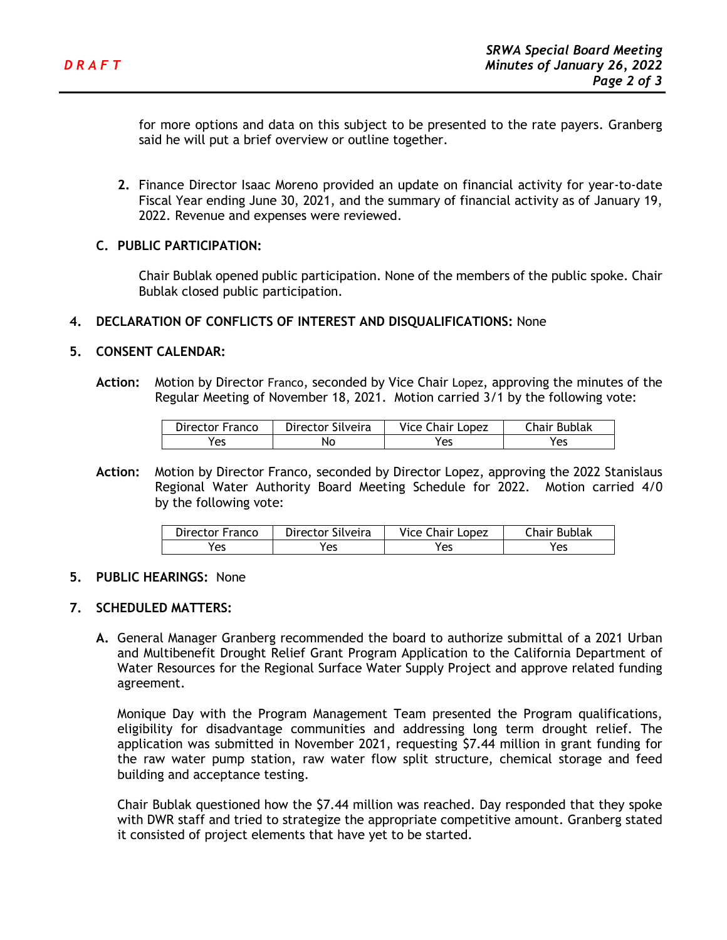for more options and data on this subject to be presented to the rate payers. Granberg said he will put a brief overview or outline together.

**2.** Finance Director Isaac Moreno provided an update on financial activity for year-to-date Fiscal Year ending June 30, 2021, and the summary of financial activity as of January 19, 2022. Revenue and expenses were reviewed.

### **C. PUBLIC PARTICIPATION:**

Chair Bublak opened public participation. None of the members of the public spoke. Chair Bublak closed public participation.

### **4. DECLARATION OF CONFLICTS OF INTEREST AND DISQUALIFICATIONS:** None

### **5. CONSENT CALENDAR:**

**Action:** Motion by Director Franco, seconded by Vice Chair Lopez, approving the minutes of the Regular Meeting of November 18, 2021. Motion carried 3/1 by the following vote:

| Director Franco | Director Silveira | Vice Chair Lopez | Chair Bublak |
|-----------------|-------------------|------------------|--------------|
| Yes             | NΟ                | 'es              | res          |

**Action:** Motion by Director Franco, seconded by Director Lopez, approving the 2022 Stanislaus Regional Water Authority Board Meeting Schedule for 2022. Motion carried 4/0 by the following vote:

| Director Franco | Director Silveira | <b>Vice Chair Lopez</b> | Chair Bublak |
|-----------------|-------------------|-------------------------|--------------|
| Yes             | Yes               | Yes                     | res          |

### **5. PUBLIC HEARINGS:** None

### **7. SCHEDULED MATTERS:**

**A.** General Manager Granberg recommended the board to authorize submittal of a 2021 Urban and Multibenefit Drought Relief Grant Program Application to the California Department of Water Resources for the Regional Surface Water Supply Project and approve related funding agreement.

Monique Day with the Program Management Team presented the Program qualifications, eligibility for disadvantage communities and addressing long term drought relief. The application was submitted in November 2021, requesting \$7.44 million in grant funding for the raw water pump station, raw water flow split structure, chemical storage and feed building and acceptance testing.

Chair Bublak questioned how the \$7.44 million was reached. Day responded that they spoke with DWR staff and tried to strategize the appropriate competitive amount. Granberg stated it consisted of project elements that have yet to be started.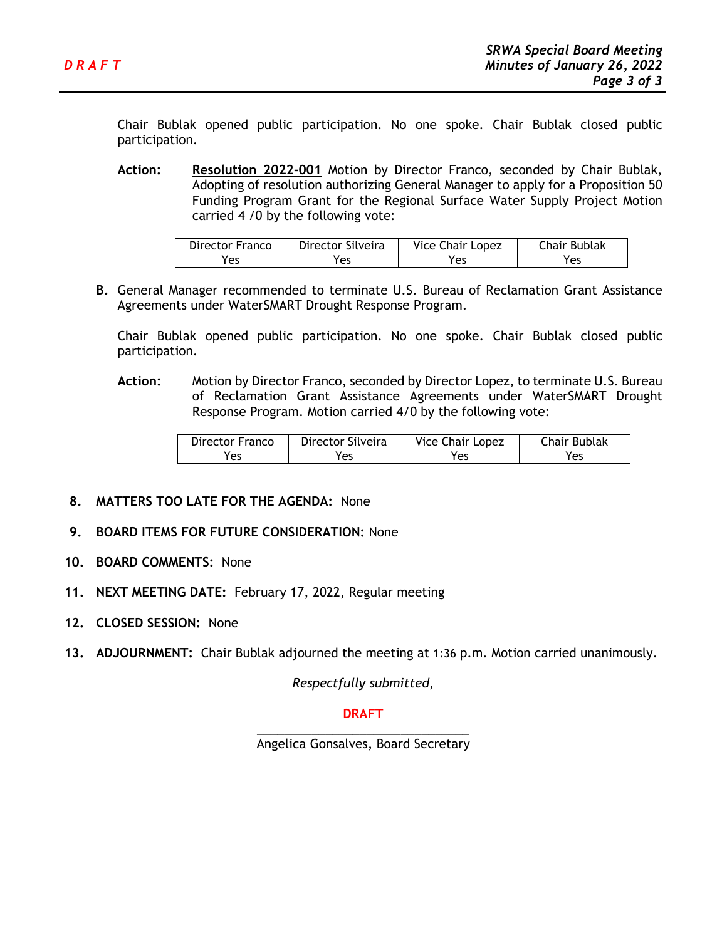Chair Bublak opened public participation. No one spoke. Chair Bublak closed public participation.

**Action: Resolution 2022-001** Motion by Director Franco, seconded by Chair Bublak, Adopting of resolution authorizing General Manager to apply for a Proposition 50 Funding Program Grant for the Regional Surface Water Supply Project Motion carried 4 /0 by the following vote:

| Director Franco | Director Silveira | Vice Chair Lopez | Chair Bublak |
|-----------------|-------------------|------------------|--------------|
| Yes             | 'es               | res              | Yes          |

**B.** General Manager recommended to terminate U.S. Bureau of Reclamation Grant Assistance Agreements under WaterSMART Drought Response Program.

Chair Bublak opened public participation. No one spoke. Chair Bublak closed public participation.

**Action:** Motion by Director Franco, seconded by Director Lopez, to terminate U.S. Bureau of Reclamation Grant Assistance Agreements under WaterSMART Drought Response Program. Motion carried 4/0 by the following vote:

| Director Franco | Director Silveira | <b>Vice Chair Lopez</b> | Chair Bublak |
|-----------------|-------------------|-------------------------|--------------|
| Yes             | Yes               | Yes                     | Yes          |

- **8. MATTERS TOO LATE FOR THE AGENDA:** None
- **9. BOARD ITEMS FOR FUTURE CONSIDERATION:** None
- **10. BOARD COMMENTS:** None
- **11. NEXT MEETING DATE:** February 17, 2022, Regular meeting
- **12. CLOSED SESSION:** None
- **13. ADJOURNMENT:** Chair Bublak adjourned the meeting at 1:36 p.m. Motion carried unanimously.

*Respectfully submitted,*

### **DRAFT**

\_\_\_\_\_\_\_\_\_\_\_\_\_\_\_\_\_\_\_\_\_\_\_\_\_\_\_\_\_\_\_ Angelica Gonsalves, Board Secretary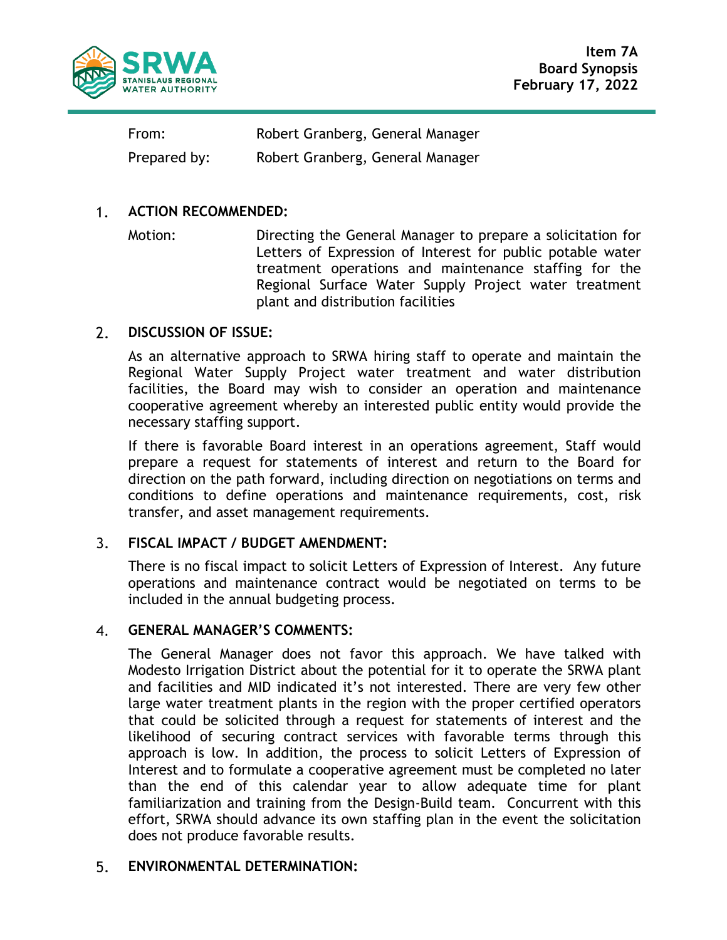

**Item 7A Board Synopsis February 17, 2022**

From: Robert Granberg, General Manager Prepared by: Robert Granberg, General Manager

#### $1<sub>1</sub>$ **ACTION RECOMMENDED:**

Motion: Directing the General Manager to prepare a solicitation for Letters of Expression of Interest for public potable water treatment operations and maintenance staffing for the Regional Surface Water Supply Project water treatment plant and distribution facilities

#### $2.$ **DISCUSSION OF ISSUE:**

As an alternative approach to SRWA hiring staff to operate and maintain the Regional Water Supply Project water treatment and water distribution facilities, the Board may wish to consider an operation and maintenance cooperative agreement whereby an interested public entity would provide the necessary staffing support.

If there is favorable Board interest in an operations agreement, Staff would prepare a request for statements of interest and return to the Board for direction on the path forward, including direction on negotiations on terms and conditions to define operations and maintenance requirements, cost, risk transfer, and asset management requirements.

#### **FISCAL IMPACT / BUDGET AMENDMENT:**  $3.$

There is no fiscal impact to solicit Letters of Expression of Interest. Any future operations and maintenance contract would be negotiated on terms to be included in the annual budgeting process.

#### $\mathbf{4}$ . **GENERAL MANAGER'S COMMENTS:**

The General Manager does not favor this approach. We have talked with Modesto Irrigation District about the potential for it to operate the SRWA plant and facilities and MID indicated it's not interested. There are very few other large water treatment plants in the region with the proper certified operators that could be solicited through a request for statements of interest and the likelihood of securing contract services with favorable terms through this approach is low. In addition, the process to solicit Letters of Expression of Interest and to formulate a cooperative agreement must be completed no later than the end of this calendar year to allow adequate time for plant familiarization and training from the Design-Build team. Concurrent with this effort, SRWA should advance its own staffing plan in the event the solicitation does not produce favorable results.

#### **ENVIRONMENTAL DETERMINATION:** 5.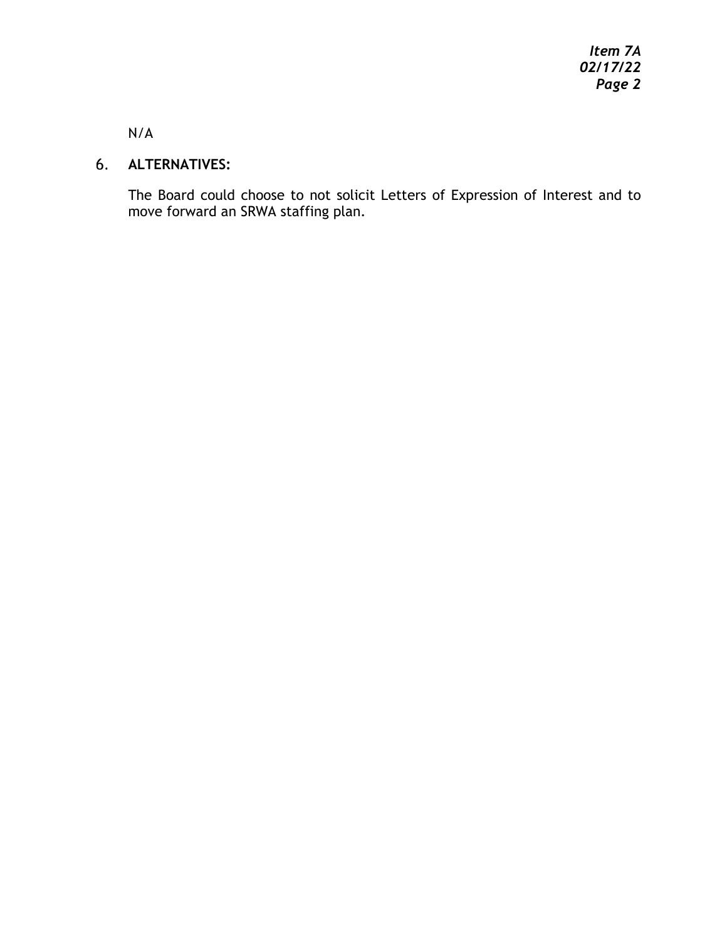*Item 7A 02/17/22 Page 2*

N/A

# **ALTERNATIVES:**

The Board could choose to not solicit Letters of Expression of Interest and to move forward an SRWA staffing plan.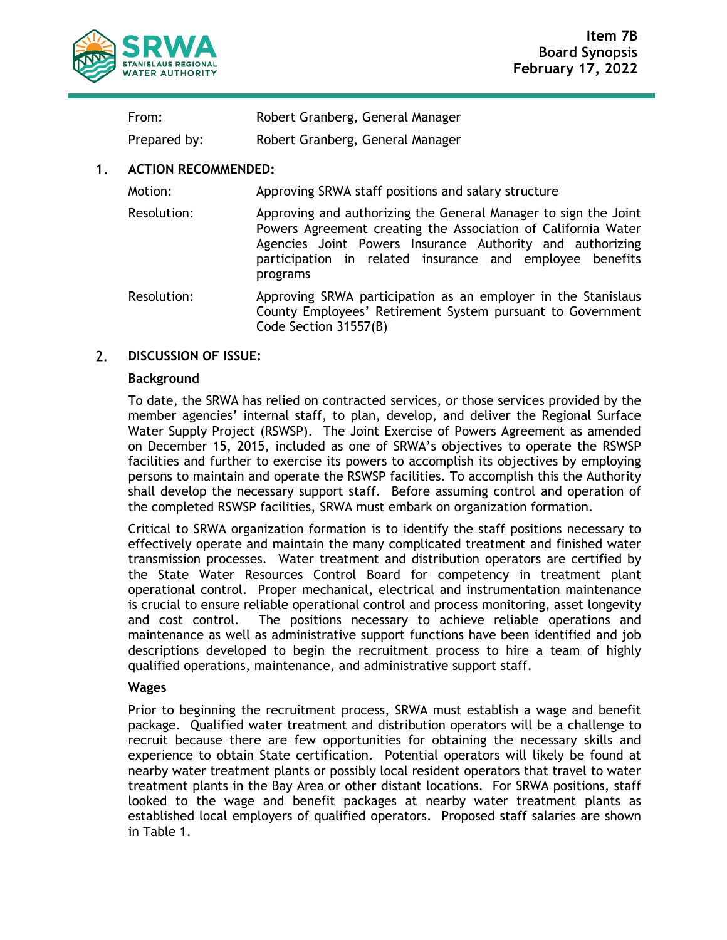

| Robert Granberg, General Manager |
|----------------------------------|
|                                  |

Prepared by: Robert Granberg, General Manager

#### $1<sub>1</sub>$ **ACTION RECOMMENDED:**

Motion: Approving SRWA staff positions and salary structure

- Resolution: Approving and authorizing the General Manager to sign the Joint Powers Agreement creating the Association of California Water Agencies Joint Powers Insurance Authority and authorizing participation in related insurance and employee benefits programs
- Resolution: Approving SRWA participation as an employer in the Stanislaus County Employees' Retirement System pursuant to Government Code Section 31557(B)

#### $2.$ **DISCUSSION OF ISSUE:**

### **Background**

To date, the SRWA has relied on contracted services, or those services provided by the member agencies' internal staff, to plan, develop, and deliver the Regional Surface Water Supply Project (RSWSP). The Joint Exercise of Powers Agreement as amended on December 15, 2015, included as one of SRWA's objectives to operate the RSWSP facilities and further to exercise its powers to accomplish its objectives by employing persons to maintain and operate the RSWSP facilities. To accomplish this the Authority shall develop the necessary support staff. Before assuming control and operation of the completed RSWSP facilities, SRWA must embark on organization formation.

Critical to SRWA organization formation is to identify the staff positions necessary to effectively operate and maintain the many complicated treatment and finished water transmission processes. Water treatment and distribution operators are certified by the State Water Resources Control Board for competency in treatment plant operational control. Proper mechanical, electrical and instrumentation maintenance is crucial to ensure reliable operational control and process monitoring, asset longevity and cost control. The positions necessary to achieve reliable operations and maintenance as well as administrative support functions have been identified and job descriptions developed to begin the recruitment process to hire a team of highly qualified operations, maintenance, and administrative support staff.

## **Wages**

Prior to beginning the recruitment process, SRWA must establish a wage and benefit package. Qualified water treatment and distribution operators will be a challenge to recruit because there are few opportunities for obtaining the necessary skills and experience to obtain State certification. Potential operators will likely be found at nearby water treatment plants or possibly local resident operators that travel to water treatment plants in the Bay Area or other distant locations. For SRWA positions, staff looked to the wage and benefit packages at nearby water treatment plants as established local employers of qualified operators. Proposed staff salaries are shown in Table 1.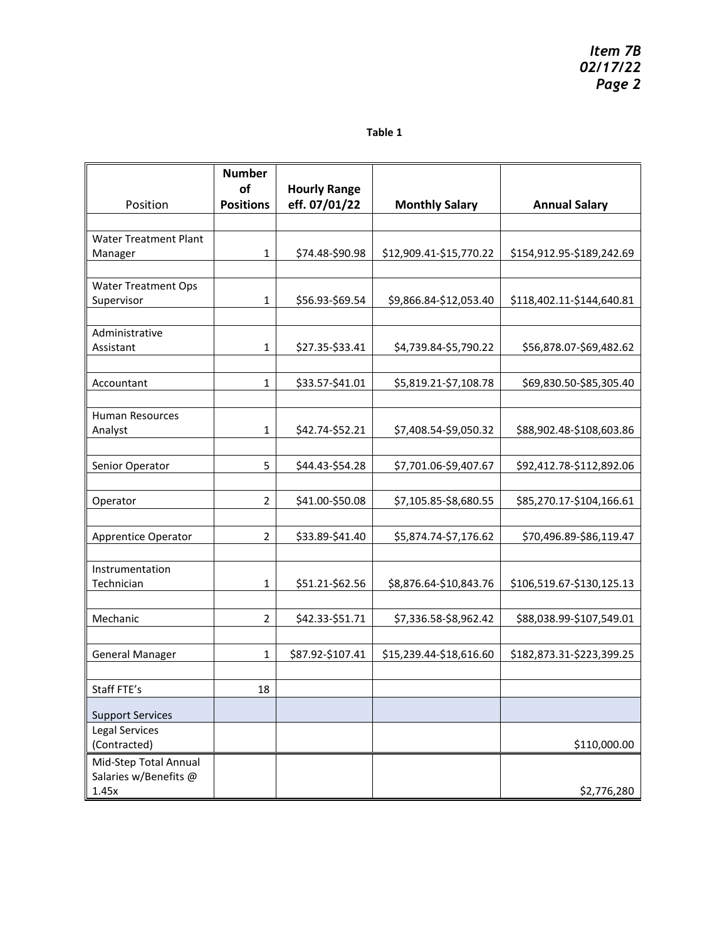### **Table 1**

| <b>Number</b><br>of | <b>Hourly Range</b>                                  |                                                                                                                                   |                                                                                                                                                                                 |
|---------------------|------------------------------------------------------|-----------------------------------------------------------------------------------------------------------------------------------|---------------------------------------------------------------------------------------------------------------------------------------------------------------------------------|
| <b>Positions</b>    | eff. 07/01/22                                        | <b>Monthly Salary</b>                                                                                                             | <b>Annual Salary</b>                                                                                                                                                            |
|                     |                                                      |                                                                                                                                   |                                                                                                                                                                                 |
|                     |                                                      |                                                                                                                                   |                                                                                                                                                                                 |
|                     |                                                      |                                                                                                                                   | \$154,912.95-\$189,242.69                                                                                                                                                       |
|                     |                                                      |                                                                                                                                   |                                                                                                                                                                                 |
|                     |                                                      |                                                                                                                                   | \$118,402.11-\$144,640.81                                                                                                                                                       |
|                     |                                                      |                                                                                                                                   |                                                                                                                                                                                 |
|                     |                                                      |                                                                                                                                   |                                                                                                                                                                                 |
| $\mathbf{1}$        | \$27.35-\$33.41                                      | \$4,739.84-\$5,790.22                                                                                                             | \$56,878.07-\$69,482.62                                                                                                                                                         |
|                     |                                                      |                                                                                                                                   |                                                                                                                                                                                 |
| 1                   | \$33.57-\$41.01                                      | \$5,819.21-\$7,108.78                                                                                                             | \$69,830.50-\$85,305.40                                                                                                                                                         |
|                     |                                                      |                                                                                                                                   |                                                                                                                                                                                 |
|                     |                                                      |                                                                                                                                   |                                                                                                                                                                                 |
|                     |                                                      |                                                                                                                                   | \$88,902.48-\$108,603.86                                                                                                                                                        |
|                     |                                                      |                                                                                                                                   |                                                                                                                                                                                 |
|                     |                                                      |                                                                                                                                   | \$92,412.78-\$112,892.06                                                                                                                                                        |
|                     |                                                      |                                                                                                                                   |                                                                                                                                                                                 |
|                     |                                                      |                                                                                                                                   | \$85,270.17-\$104,166.61                                                                                                                                                        |
|                     |                                                      |                                                                                                                                   |                                                                                                                                                                                 |
|                     |                                                      |                                                                                                                                   | \$70,496.89-\$86,119.47                                                                                                                                                         |
|                     |                                                      |                                                                                                                                   |                                                                                                                                                                                 |
| 1                   |                                                      |                                                                                                                                   | \$106,519.67-\$130,125.13                                                                                                                                                       |
|                     |                                                      |                                                                                                                                   |                                                                                                                                                                                 |
| $\overline{2}$      | \$42.33-\$51.71                                      | \$7,336.58-\$8,962.42                                                                                                             | \$88,038.99-\$107,549.01                                                                                                                                                        |
|                     |                                                      |                                                                                                                                   |                                                                                                                                                                                 |
| $\mathbf{1}$        | \$87.92-\$107.41                                     | \$15,239.44-\$18,616.60                                                                                                           | \$182,873.31-\$223,399.25                                                                                                                                                       |
|                     |                                                      |                                                                                                                                   |                                                                                                                                                                                 |
| 18                  |                                                      |                                                                                                                                   |                                                                                                                                                                                 |
|                     |                                                      |                                                                                                                                   |                                                                                                                                                                                 |
|                     |                                                      |                                                                                                                                   |                                                                                                                                                                                 |
|                     |                                                      |                                                                                                                                   | \$110,000.00                                                                                                                                                                    |
|                     |                                                      |                                                                                                                                   |                                                                                                                                                                                 |
|                     |                                                      |                                                                                                                                   | \$2,776,280                                                                                                                                                                     |
|                     | 1<br>1<br>1<br>5<br>$\overline{2}$<br>$\overline{2}$ | \$74.48-\$90.98<br>\$56.93-\$69.54<br>\$42.74-\$52.21<br>\$44.43-\$54.28<br>\$41.00-\$50.08<br>\$33.89-\$41.40<br>\$51.21-\$62.56 | \$12,909.41-\$15,770.22<br>\$9,866.84-\$12,053.40<br>\$7,408.54-\$9,050.32<br>\$7,701.06-\$9,407.67<br>\$7,105.85-\$8,680.55<br>\$5,874.74-\$7,176.62<br>\$8,876.64-\$10,843.76 |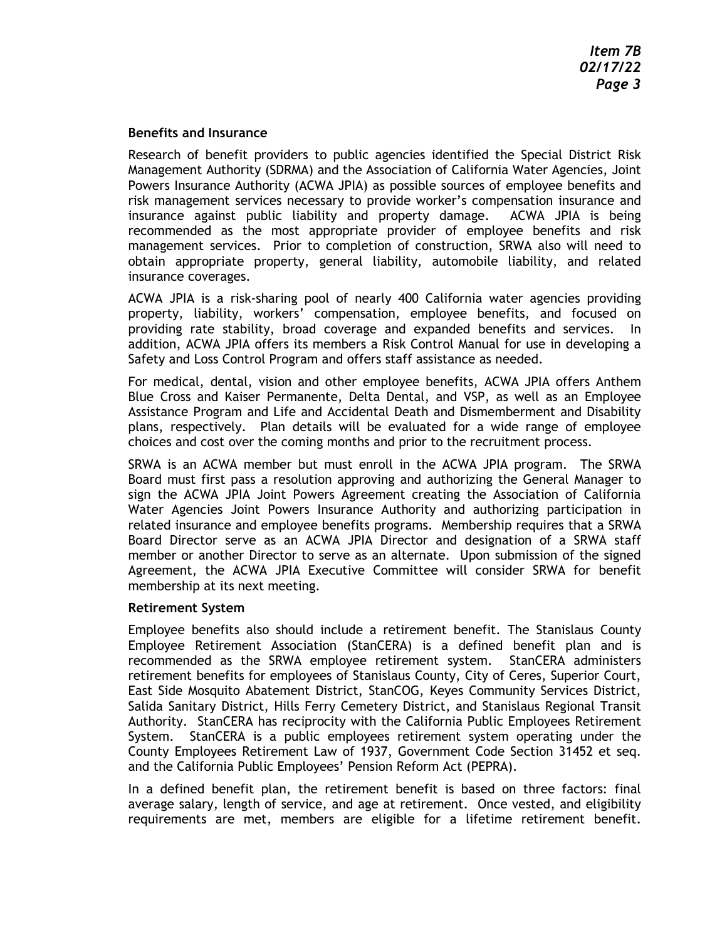### **Benefits and Insurance**

Research of benefit providers to public agencies identified the Special District Risk Management Authority (SDRMA) and the Association of California Water Agencies, Joint Powers Insurance Authority (ACWA JPIA) as possible sources of employee benefits and risk management services necessary to provide worker's compensation insurance and insurance against public liability and property damage. ACWA JPIA is being recommended as the most appropriate provider of employee benefits and risk management services. Prior to completion of construction, SRWA also will need to obtain appropriate property, general liability, automobile liability, and related insurance coverages.

ACWA JPIA is a risk-sharing pool of nearly 400 California water agencies providing property, liability, workers' compensation, employee benefits, and focused on providing rate stability, broad coverage and expanded benefits and services. In addition, ACWA JPIA offers its members a Risk Control Manual for use in developing a Safety and Loss Control Program and offers staff assistance as needed.

For medical, dental, vision and other employee benefits, ACWA JPIA offers Anthem Blue Cross and Kaiser Permanente, Delta Dental, and VSP, as well as an Employee Assistance Program and Life and Accidental Death and Dismemberment and Disability plans, respectively. Plan details will be evaluated for a wide range of employee choices and cost over the coming months and prior to the recruitment process.

SRWA is an ACWA member but must enroll in the ACWA JPIA program. The SRWA Board must first pass a resolution approving and authorizing the General Manager to sign the ACWA JPIA Joint Powers Agreement creating the Association of California Water Agencies Joint Powers Insurance Authority and authorizing participation in related insurance and employee benefits programs. Membership requires that a SRWA Board Director serve as an ACWA JPIA Director and designation of a SRWA staff member or another Director to serve as an alternate. Upon submission of the signed Agreement, the ACWA JPIA Executive Committee will consider SRWA for benefit membership at its next meeting.

### **Retirement System**

Employee benefits also should include a retirement benefit. The Stanislaus County Employee Retirement Association (StanCERA) is a defined benefit plan and is recommended as the SRWA employee retirement system. StanCERA administers retirement benefits for employees of Stanislaus County, City of Ceres, Superior Court, East Side Mosquito Abatement District, StanCOG, Keyes Community Services District, Salida Sanitary District, Hills Ferry Cemetery District, and Stanislaus Regional Transit Authority. StanCERA has reciprocity with the California Public Employees Retirement System. StanCERA is a public employees retirement system operating under the County Employees Retirement Law of 1937, Government Code Section 31452 et seq. and the California Public Employees' Pension Reform Act (PEPRA).

In a defined benefit plan, the retirement benefit is based on three factors: final average salary, length of service, and age at retirement. Once vested, and eligibility requirements are met, members are eligible for a lifetime retirement benefit.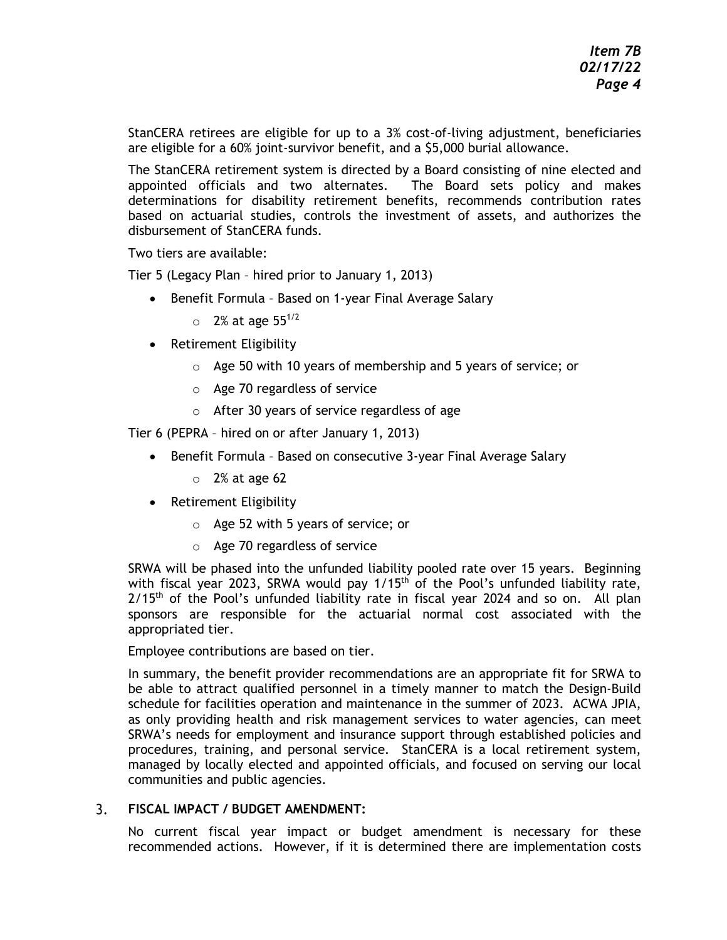StanCERA retirees are eligible for up to a 3% cost-of-living adjustment, beneficiaries are eligible for a 60% joint-survivor benefit, and a \$5,000 burial allowance.

The StanCERA retirement system is directed by a Board consisting of nine elected and appointed officials and two alternates. The Board sets policy and makes determinations for disability retirement benefits, recommends contribution rates based on actuarial studies, controls the investment of assets, and authorizes the disbursement of StanCERA funds.

Two tiers are available:

Tier 5 (Legacy Plan – hired prior to January 1, 2013)

- Benefit Formula Based on 1-year Final Average Salary
	- $\circ$  2% at age 55<sup>1/2</sup>
- Retirement Eligibility
	- o Age 50 with 10 years of membership and 5 years of service; or
	- o Age 70 regardless of service
	- o After 30 years of service regardless of age

Tier 6 (PEPRA – hired on or after January 1, 2013)

- Benefit Formula Based on consecutive 3-year Final Average Salary
	- $\circ$  2% at age 62
- Retirement Eligibility
	- o Age 52 with 5 years of service; or
	- o Age 70 regardless of service

SRWA will be phased into the unfunded liability pooled rate over 15 years. Beginning with fiscal year 2023, SRWA would pay  $1/15<sup>th</sup>$  of the Pool's unfunded liability rate,  $2/15<sup>th</sup>$  of the Pool's unfunded liability rate in fiscal year 2024 and so on. All plan sponsors are responsible for the actuarial normal cost associated with the appropriated tier.

Employee contributions are based on tier.

In summary, the benefit provider recommendations are an appropriate fit for SRWA to be able to attract qualified personnel in a timely manner to match the Design-Build schedule for facilities operation and maintenance in the summer of 2023. ACWA JPIA, as only providing health and risk management services to water agencies, can meet SRWA's needs for employment and insurance support through established policies and procedures, training, and personal service. StanCERA is a local retirement system, managed by locally elected and appointed officials, and focused on serving our local communities and public agencies.

#### $3.$ **FISCAL IMPACT / BUDGET AMENDMENT:**

No current fiscal year impact or budget amendment is necessary for these recommended actions. However, if it is determined there are implementation costs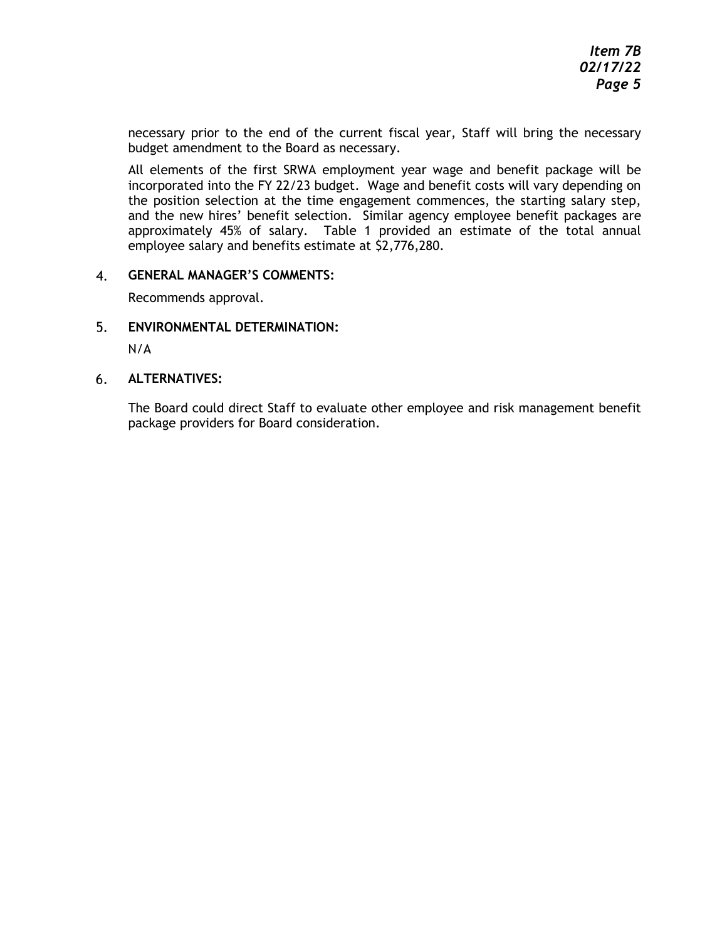necessary prior to the end of the current fiscal year, Staff will bring the necessary budget amendment to the Board as necessary.

All elements of the first SRWA employment year wage and benefit package will be incorporated into the FY 22/23 budget. Wage and benefit costs will vary depending on the position selection at the time engagement commences, the starting salary step, and the new hires' benefit selection. Similar agency employee benefit packages are approximately 45% of salary. Table 1 provided an estimate of the total annual employee salary and benefits estimate at \$2,776,280.

#### 4. **GENERAL MANAGER'S COMMENTS:**

Recommends approval.

5. **ENVIRONMENTAL DETERMINATION:**

N/A

6. **ALTERNATIVES:**

> The Board could direct Staff to evaluate other employee and risk management benefit package providers for Board consideration.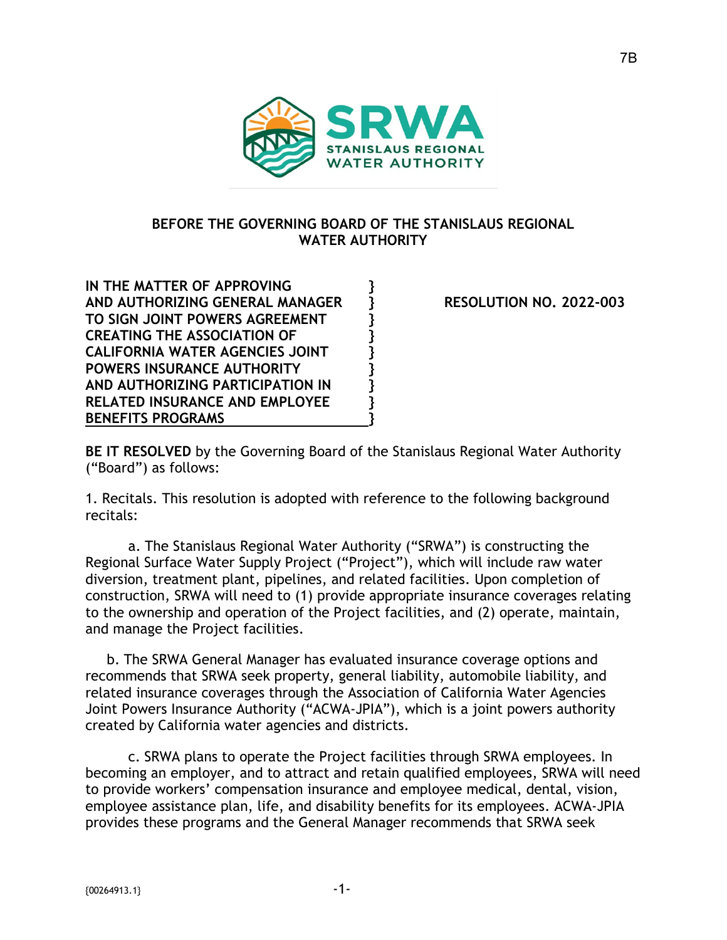

# **BEFORE THE GOVERNING BOARD OF THE STANISLAUS REGIONAL WATER AUTHORITY**

**IN THE MATTER OF APPROVING } AND AUTHORIZING GENERAL MANAGER } RESOLUTION NO. 2022-003 TO SIGN JOINT POWERS AGREEMENT } CREATING THE ASSOCIATION OF } CALIFORNIA WATER AGENCIES JOINT } POWERS INSURANCE AUTHORITY } AND AUTHORIZING PARTICIPATION IN } RELATED INSURANCE AND EMPLOYEE } BENEFITS PROGRAMS }** 

**BE IT RESOLVED** by the Governing Board of the Stanislaus Regional Water Authority ("Board") as follows:

1. Recitals. This resolution is adopted with reference to the following background recitals:

a. The Stanislaus Regional Water Authority ("SRWA") is constructing the Regional Surface Water Supply Project ("Project"), which will include raw water diversion, treatment plant, pipelines, and related facilities. Upon completion of construction, SRWA will need to (1) provide appropriate insurance coverages relating to the ownership and operation of the Project facilities, and (2) operate, maintain, and manage the Project facilities.

b. The SRWA General Manager has evaluated insurance coverage options and recommends that SRWA seek property, general liability, automobile liability, and related insurance coverages through the Association of California Water Agencies Joint Powers Insurance Authority ("ACWA-JPIA"), which is a joint powers authority created by California water agencies and districts.

c. SRWA plans to operate the Project facilities through SRWA employees. In becoming an employer, and to attract and retain qualified employees, SRWA will need to provide workers' compensation insurance and employee medical, dental, vision, employee assistance plan, life, and disability benefits for its employees. ACWA-JPIA provides these programs and the General Manager recommends that SRWA seek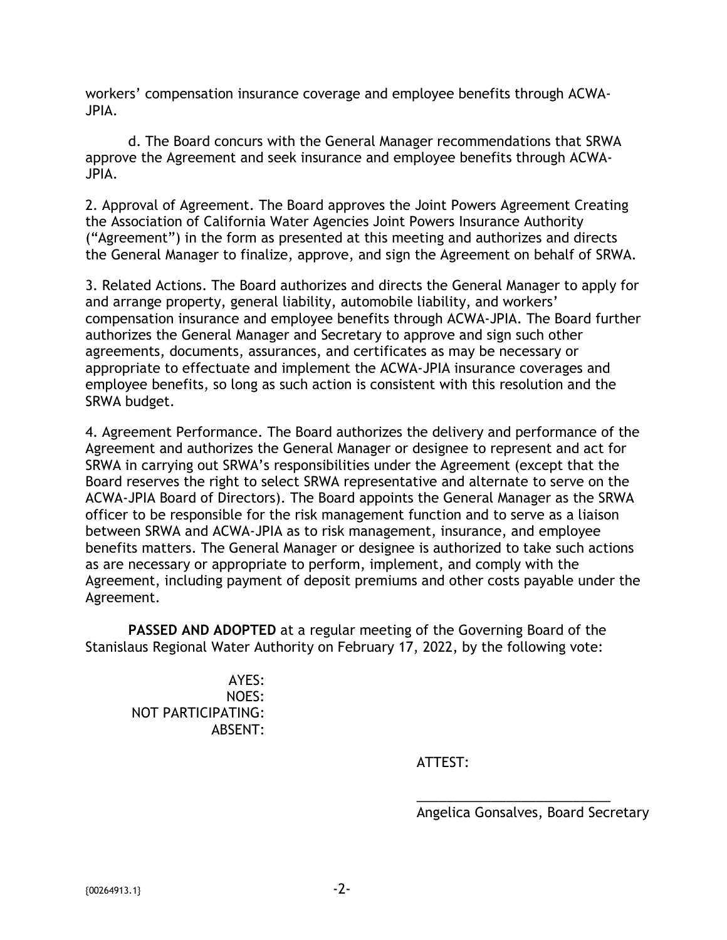workers' compensation insurance coverage and employee benefits through ACWA-JPIA.

d. The Board concurs with the General Manager recommendations that SRWA approve the Agreement and seek insurance and employee benefits through ACWA-JPIA.

2. Approval of Agreement. The Board approves the Joint Powers Agreement Creating the Association of California Water Agencies Joint Powers Insurance Authority ("Agreement") in the form as presented at this meeting and authorizes and directs the General Manager to finalize, approve, and sign the Agreement on behalf of SRWA.

3. Related Actions. The Board authorizes and directs the General Manager to apply for and arrange property, general liability, automobile liability, and workers' compensation insurance and employee benefits through ACWA-JPIA. The Board further authorizes the General Manager and Secretary to approve and sign such other agreements, documents, assurances, and certificates as may be necessary or appropriate to effectuate and implement the ACWA-JPIA insurance coverages and employee benefits, so long as such action is consistent with this resolution and the SRWA budget.

4. Agreement Performance. The Board authorizes the delivery and performance of the Agreement and authorizes the General Manager or designee to represent and act for SRWA in carrying out SRWA's responsibilities under the Agreement (except that the Board reserves the right to select SRWA representative and alternate to serve on the ACWA-JPIA Board of Directors). The Board appoints the General Manager as the SRWA officer to be responsible for the risk management function and to serve as a liaison between SRWA and ACWA-JPIA as to risk management, insurance, and employee benefits matters. The General Manager or designee is authorized to take such actions as are necessary or appropriate to perform, implement, and comply with the Agreement, including payment of deposit premiums and other costs payable under the Agreement.

**PASSED AND ADOPTED** at a regular meeting of the Governing Board of the Stanislaus Regional Water Authority on February 17, 2022, by the following vote:

AYES: NOES: NOT PARTICIPATING: ABSENT:

ATTEST:

Angelica Gonsalves, Board Secretary

\_\_\_\_\_\_\_\_\_\_\_\_\_\_\_\_\_\_\_\_\_\_\_\_\_\_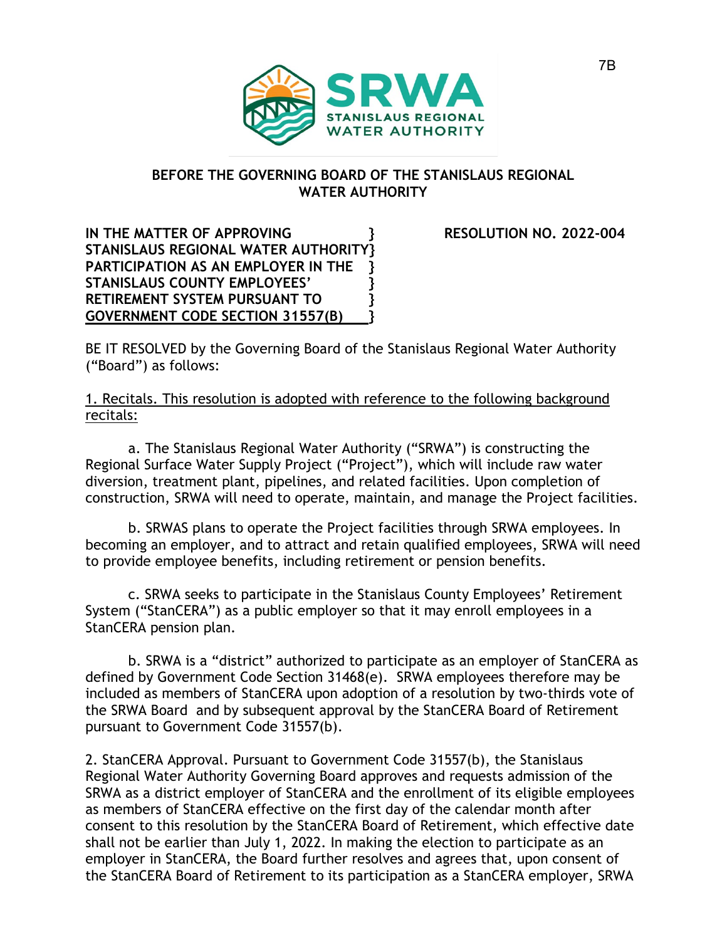

# **BEFORE THE GOVERNING BOARD OF THE STANISLAUS REGIONAL WATER AUTHORITY**

**IN THE MATTER OF APPROVING } RESOLUTION NO. 2022-004 STANISLAUS REGIONAL WATER AUTHORITY} PARTICIPATION AS AN EMPLOYER IN THE } STANISLAUS COUNTY EMPLOYEES' } RETIREMENT SYSTEM PURSUANT TO } GOVERNMENT CODE SECTION 31557(B) }** 

BE IT RESOLVED by the Governing Board of the Stanislaus Regional Water Authority ("Board") as follows:

1. Recitals. This resolution is adopted with reference to the following background recitals:

a. The Stanislaus Regional Water Authority ("SRWA") is constructing the Regional Surface Water Supply Project ("Project"), which will include raw water diversion, treatment plant, pipelines, and related facilities. Upon completion of construction, SRWA will need to operate, maintain, and manage the Project facilities.

b. SRWAS plans to operate the Project facilities through SRWA employees. In becoming an employer, and to attract and retain qualified employees, SRWA will need to provide employee benefits, including retirement or pension benefits.

c. SRWA seeks to participate in the Stanislaus County Employees' Retirement System ("StanCERA") as a public employer so that it may enroll employees in a StanCERA pension plan.

b. SRWA is a "district" authorized to participate as an employer of StanCERA as defined by Government Code Section 31468(e). SRWA employees therefore may be included as members of StanCERA upon adoption of a resolution by two-thirds vote of the SRWA Board and by subsequent approval by the StanCERA Board of Retirement pursuant to Government Code 31557(b).

2. StanCERA Approval. Pursuant to Government Code 31557(b), the Stanislaus Regional Water Authority Governing Board approves and requests admission of the SRWA as a district employer of StanCERA and the enrollment of its eligible employees as members of StanCERA effective on the first day of the calendar month after consent to this resolution by the StanCERA Board of Retirement, which effective date shall not be earlier than July 1, 2022. In making the election to participate as an employer in StanCERA, the Board further resolves and agrees that, upon consent of the StanCERA Board of Retirement to its participation as a StanCERA employer, SRWA